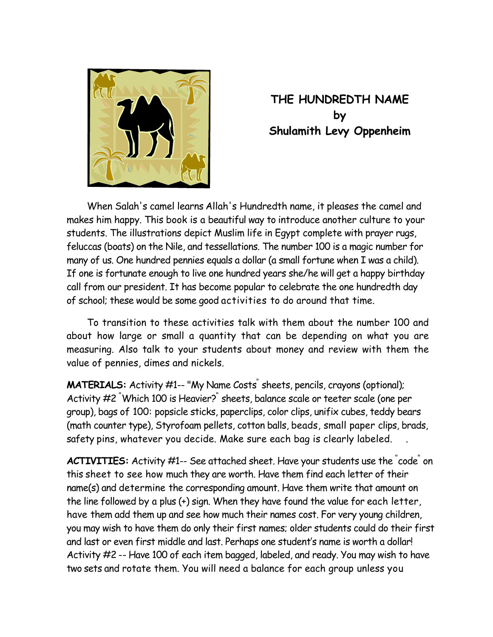

## **THE HUNDREDTH NAME by Shulamith Levy Oppenheim**

 When Salah's camel learns Allah's Hundredth name, it pleases the camel and makes him happy. This book is a beautiful way to introduce another culture to your students. The illustrations depict Muslim life in Egypt complete with prayer rugs, feluccas (boats) on the Nile, and tessellations. The number 100 is a magic number for many of us. One hundred pennies equals a dollar (a small fortune when I was a child). If one is fortunate enough to live one hundred years she/he will get a happy birthday call from our president. It has become popular to celebrate the one hundredth day of school; these would be some good activities to do around that time.

 To transition to these activities talk with them about the number 100 and about how large or small a quantity that can be depending on what you are measuring. Also talk to your students about money and review with them the value of pennies, dimes and nickels.

**MATERIALS:** Activity #1-- "My Name Costs<sup>"</sup> sheets, pencils, crayons (optional); Activity #2 " Which 100 is Heavier?" sheets, balance scale or teeter scale (one per group), bags of 100: popsicle sticks, paperclips, color clips, unifix cubes, teddy bears (math counter type), Styrofoam pellets, cotton balls, beads, small paper clips, brads, safety pins, whatever you decide. Make sure each bag is clearly labeled.

ACTIVITIES: Activity #1-- See attached sheet. Have your students use the "code" on this sheet to see how much they are worth. Have them find each letter of their name(s) and determine the corresponding amount. Have them write that amount on the line followed by a plus (+) sign. When they have found the value for each letter, have them add them up and see how much their names cost. For very young children, you may wish to have them do only their first names; older students could do their first and last or even first middle and last. Perhaps one student's name is worth a dollar! Activity #2 -- Have 100 of each item bagged, labeled, and ready. You may wish to have two sets and rotate them. You will need a balance for each group unless you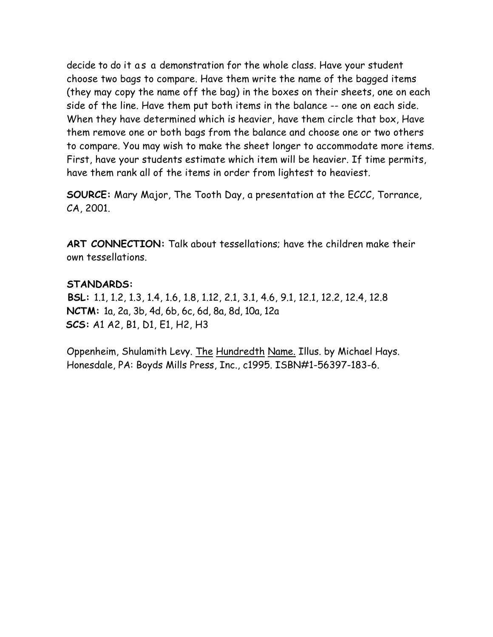decide to do it as a demonstration for the whole class. Have your student choose two bags to compare. Have them write the name of the bagged items (they may copy the name off the bag) in the boxes on their sheets, one on each side of the line. Have them put both items in the balance -- one on each side. When they have determined which is heavier, have them circle that box, Have them remove one or both bags from the balance and choose one or two others to compare. You may wish to make the sheet longer to accommodate more items. First, have your students estimate which item will be heavier. If time permits, have them rank all of the items in order from lightest to heaviest.

**SOURCE:** Mary Major, The Tooth Day, a presentation at the ECCC, Torrance, CA, 2001.

**ART CONNECTION:** Talk about tessellations; have the children make their own tessellations.

## **STANDARDS:**

 **BSL:** 1.1, 1.2, 1.3, 1.4, 1.6, 1.8, 1.12, 2.1, 3.1, 4.6, 9.1, 12.1, 12.2, 12.4, 12.8 **NCTM:** 1a, 2a, 3b, 4d, 6b, 6c, 6d, 8a, 8d, 10a, 12a **SCS:** A1 A2, B1, D1, E1, H2, H3

Oppenheim, Shulamith Levy. The Hundredth Name. Illus. by Michael Hays. Honesdale, PA: Boyds Mills Press, Inc., c1995. ISBN#1-56397-183-6.